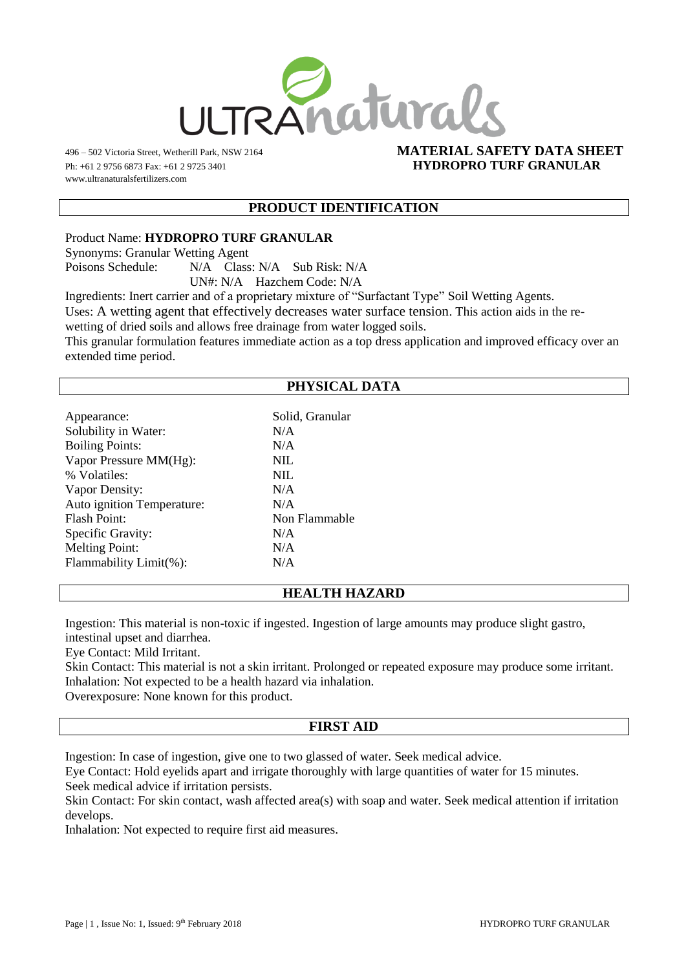

www.ultranaturalsfertilizers.com

## 496 – 502 Victoria Street, Wetherill Park, NSW 2164 **MATERIAL SAFETY DATA SHEET** Ph: +61 2 9756 6873 Fax: +61 2 9725 3401 **HYDROPRO TURF GRANULAR**

### **PRODUCT IDENTIFICATION**

Product Name: **HYDROPRO TURF GRANULAR**

Synonyms: Granular Wetting Agent

Poisons Schedule: N/A Class: N/A Sub Risk: N/A

UN#: N/A Hazchem Code: N/A

Ingredients: Inert carrier and of a proprietary mixture of "Surfactant Type" Soil Wetting Agents.

Uses: A wetting agent that effectively decreases water surface tension. This action aids in the re-

wetting of dried soils and allows free drainage from water logged soils.

This granular formulation features immediate action as a top dress application and improved efficacy over an extended time period.

# **PHYSICAL DATA**

| Solid, Granular |
|-----------------|
| N/A             |
| N/A             |
| <b>NIL</b>      |
| <b>NIL</b>      |
| N/A             |
| N/A             |
| Non Flammable   |
| N/A             |
| N/A             |
| N/A             |
|                 |

# **HEALTH HAZARD**

Ingestion: This material is non-toxic if ingested. Ingestion of large amounts may produce slight gastro, intestinal upset and diarrhea.

Eye Contact: Mild Irritant.

Skin Contact: This material is not a skin irritant. Prolonged or repeated exposure may produce some irritant. Inhalation: Not expected to be a health hazard via inhalation.

Overexposure: None known for this product.

#### **FIRST AID**

Ingestion: In case of ingestion, give one to two glassed of water. Seek medical advice.

Eye Contact: Hold eyelids apart and irrigate thoroughly with large quantities of water for 15 minutes. Seek medical advice if irritation persists.

Skin Contact: For skin contact, wash affected area(s) with soap and water. Seek medical attention if irritation develops.

Inhalation: Not expected to require first aid measures.